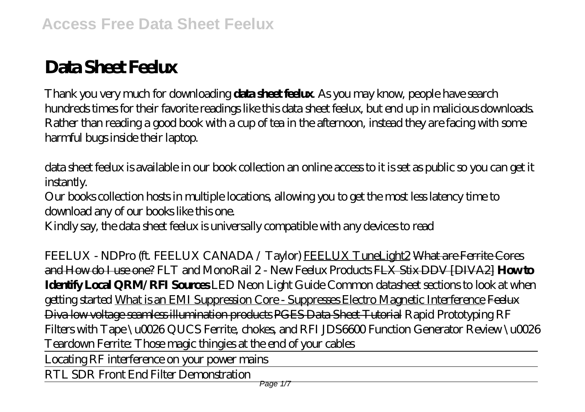# Data Sheet Feelux

Thank you very much for downloading **data sheet feelux**. As you may know, people have search hundreds times for their favorite readings like this data sheet feelux, but end up in malicious downloads. Rather than reading a good book with a cup of tea in the afternoon, instead they are facing with some harmful bugs inside their laptop.

data sheet feelux is available in our book collection an online access to it is set as public so you can get it instantly.

Our books collection hosts in multiple locations, allowing you to get the most less latency time to download any of our books like this one.

Kindly say, the data sheet feelux is universally compatible with any devices to read

FEELUX - NDPro (ft. FEELUX CANADA / Taylor) FEELUX TuneLight2 What are Ferrite Cores and How do I use one? *FLT and MonoRail 2 - New Feelux Products* FLX Stix DDV [DIVA2] **How to Identify Local QRM/RFI Sources** *LED Neon Light Guide Common datasheet sections to look at when getting started* What is an EMI Suppression Core - Suppresses Electro Magnetic Interference Feelux Diva low voltage seamless illumination products PGES Data Sheet Tutorial Rapid Prototyping RF Filters with Tape \u0026 QUCS Ferrite, chokes, and RFI *JDS6600 Function Generator Review \u0026 Teardown* Ferrite: Those magic thingies at the end of your cables Locating RF interference on your power mains

RTL SDR Front End Filter Demonstration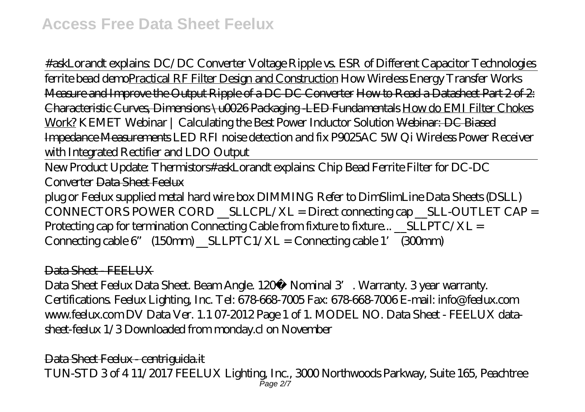#askLorandt explains: DC/DC Converter Voltage Ripple vs. ESR of Different Capacitor Technologies ferrite bead demoPractical RF Filter Design and Construction *How Wireless Energy Transfer Works* Measure and Improve the Output Ripple of a DC DC Converter How to Read a Datasheet Part 2 of 2: Characteristic Curves, Dimensions \u0026 Packaging -LED Fundamentals How do EMI Filter Chokes Work? *KEMET Webinar | Calculating the Best Power Inductor Solution* Webinar: DC Biased Impedance Measurements *LED RFI noise detection and fix P9025AC 5W Qi Wireless Power Receiver with Integrated Rectifier and LDO Output*

New Product Update: Thermistors*#askLorandt explains: Chip Bead Ferrite Filter for DC-DC Converter* Data Sheet Feelux

plug or Feelux supplied metal hard wire box DIMMING Refer to DimSlimLine Data Sheets (DSLL)  $COMNETORS$  POWER CORD  $SLLCH/XL = Direct$  connecting cap  $SLL$ -OUTLET CAP = Protecting cap for termination Connecting Cable from fixture to fixture...  $\text{SLLPTC}/\text{XL} =$ Connecting cable  $6'$  (150mm) \_SLLPTC1/XL = Connecting cable 1' (300mm)

## Data Sheet - FEELUX

Data Sheet Feelux Data Sheet. Beam Angle. 120<sup>°</sup> Nominal 3<sup>'</sup>. Warranty. 3 year warranty. Certifications. Feelux Lighting, Inc. Tel: 678-668-7005 Fax: 678-668-7006 E-mail: info@feelux.com www.feelux.com DV Data Ver. 1.1 07-2012 Page 1 of 1. MODEL NO. Data Sheet - FEELUX datasheet-feelux 1/3 Downloaded from monday.cl on November

Data Sheet Feelux - centriguida.it TUN-STD 3 of 4 11/2017 FEELUX Lighting, Inc., 3000 Northwoods Parkway, Suite 165, Peachtree Page 2/7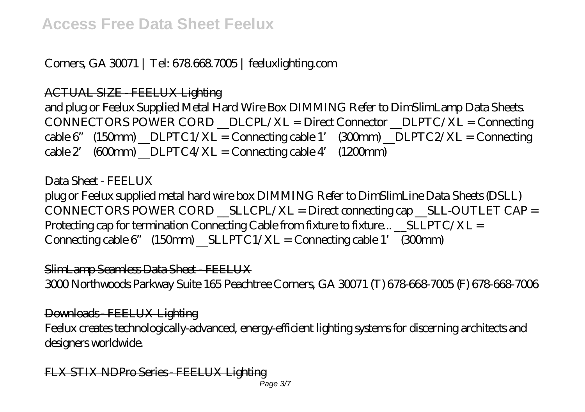## Corners, GA 30071 | Tel: 678.668.7005 | feeluxlighting.com

ACTUAL SIZE - FEELUX Lighting

and plug or Feelux Supplied Metal Hard Wire Box DIMMING Refer to DimSlimLamp Data Sheets. CONNECTORS POWER CORD \_\_DLCPL/XL = Direct Connector \_\_DLPTC/XL = Connecting  $\text{cable 6" (150nm) }$   $\text{DLPTC1/XL} = \text{Converting cable 1' (300nm) }$   $\text{DLPTC2/XL} = \text{Connecting}$  $\text{cable 2}$  (600mm)  $\text{DLPTC4/XL} = \text{Converting cable 4'}$  (1200mm)

## Data Shoot - FEELUX

plug or Feelux supplied metal hard wire box DIMMING Refer to DimSlimLine Data Sheets (DSLL)  $CONNECTORS$  POWER  $CORD$   $_$  SLLCPL/XL = Direct connecting cap  $_$  SLL-OUTLET CAP = Protecting cap for termination Connecting Cable from fixture to fixture...  $\_SLLPTC/XL =$ Connecting cable  $6''$  (150mm) SLLPTC1/XL = Connecting cable 1' (300mm)

SlimLamp Seamless Data Sheet - FEELUX

3000 Northwoods Parkway Suite 165 Peachtree Corners, GA 30071 (T) 678-668-7005 (F) 678-668-7006

Downloads - FEELUX Lighting Feelux creates technologically-advanced, energy-efficient lighting systems for discerning architects and designers worldwide.

FLX STIX NDPro Series - FEELUX Lighting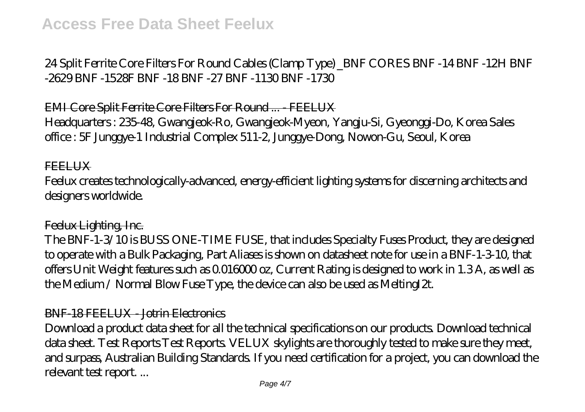24 Split Ferrite Core Filters For Round Cables (Clamp Type) \_BNF CORES BNF -14 BNF -12H BNF -2629 BNF -1528F BNF -18 BNF -27 BNF -1130 BNF -1730

EMI Core Split Ferrite Core Filters For Round ... - FEELUX

Headquarters : 235-48, Gwangjeok-Ro, Gwangjeok-Myeon, Yangju-Si, Gyeonggi-Do, Korea Sales office : 5F Junggye-1 Industrial Complex 511-2, Junggye-Dong, Nowon-Gu, Seoul, Korea

#### **FEELUX**

Feelux creates technologically-advanced, energy-efficient lighting systems for discerning architects and designers worldwide.

#### Feelux Lighting, Inc.

The BNF-1-3/10 is BUSS ONE-TIME FUSE, that includes Specialty Fuses Product, they are designed to operate with a Bulk Packaging, Part Aliases is shown on datasheet note for use in a BNF-1-3-10, that offers Unit Weight features such as 0.016000 oz, Current Rating is designed to work in 1.3 A, as well as the Medium / Normal Blow Fuse Type, the device can also be used as MeltingI2t.

#### BNF-18 FEELUX - Jotrin Electronics

Download a product data sheet for all the technical specifications on our products. Download technical data sheet. Test Reports Test Reports. VELUX skylights are thoroughly tested to make sure they meet, and surpass, Australian Building Standards. If you need certification for a project, you can download the relevant test report. ...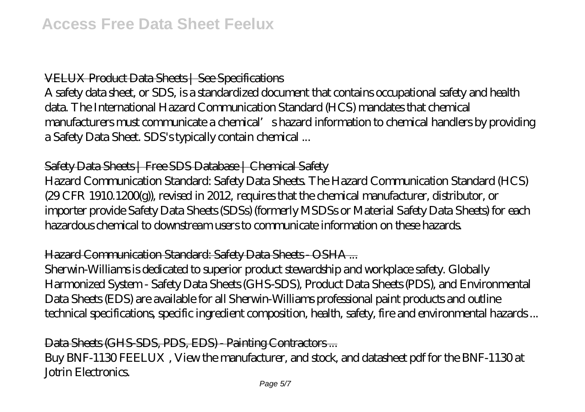## VELUX Product Data Sheets | See Specifications

A safety data sheet, or SDS, is a standardized document that contains occupational safety and health data. The International Hazard Communication Standard (HCS) mandates that chemical manufacturers must communicate a chemical's hazard information to chemical handlers by providing a Safety Data Sheet. SDS's typically contain chemical ...

## Safety Data Sheets | Free SDS Database | Chemical Safety

Hazard Communication Standard: Safety Data Sheets. The Hazard Communication Standard (HCS) (29 CFR 1910.1200(g)), revised in 2012, requires that the chemical manufacturer, distributor, or importer provide Safety Data Sheets (SDSs) (formerly MSDSs or Material Safety Data Sheets) for each hazardous chemical to downstream users to communicate information on these hazards.

## Hazard Communication Standard: Safety Data Sheets - OSHA ...

Sherwin-Williams is dedicated to superior product stewardship and workplace safety. Globally Harmonized System - Safety Data Sheets (GHS-SDS), Product Data Sheets (PDS), and Environmental Data Sheets (EDS) are available for all Sherwin-Williams professional paint products and outline technical specifications, specific ingredient composition, health, safety, fire and environmental hazards ...

## Data Sheets (GHS-SDS, PDS, EDS) - Painting Contractors ...

Buy BNF-1130 FEELUX , View the manufacturer, and stock, and datasheet pdf for the BNF-1130 at Jotrin Electronics.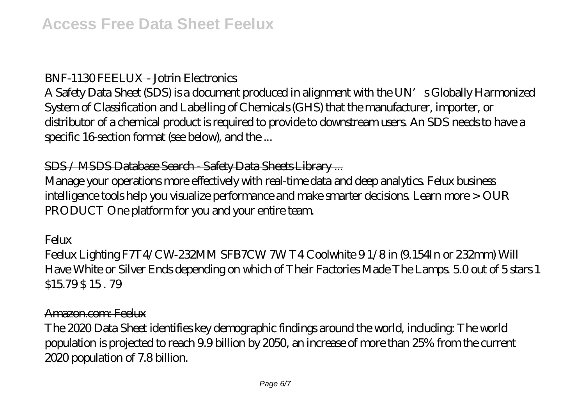## BNF-1130 FEELUX - Jotrin Electronics

A Safety Data Sheet (SDS) is a document produced in alignment with the UN's Globally Harmonized System of Classification and Labelling of Chemicals (GHS) that the manufacturer, importer, or distributor of a chemical product is required to provide to downstream users. An SDS needs to have a specific 16-section format (see below), and the ...

## SDS / MSDS Database Search - Safety Data Sheets Library ...

Manage your operations more effectively with real-time data and deep analytics. Felux business intelligence tools help you visualize performance and make smarter decisions. Learn more > OUR PRODUCT One platform for you and your entire team.

**Felux** 

Feelux Lighting F7T4/CW-232MM SFB7CW 7W T4 Coolwhite 9 1/8 in (9.154In or 232mm) Will Have White or Silver Ends depending on which of Their Factories Made The Lamps. 5.0 out of 5 stars 1 \$15.79 \$ 15 . 79

#### Amazon.com: Feelux

The 2020 Data Sheet identifies key demographic findings around the world, including: The world population is projected to reach 9.9 billion by 2050, an increase of more than 25% from the current 2020 population of 7.8 billion.